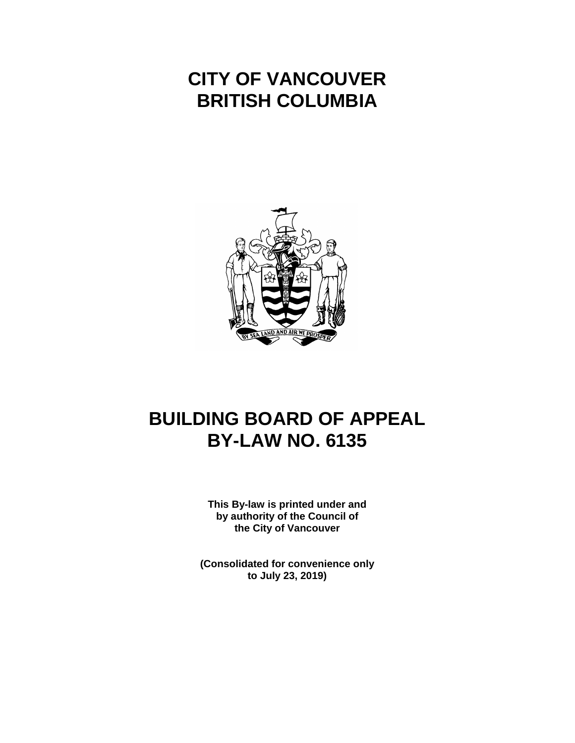# **CITY OF VANCOUVER BRITISH COLUMBIA**



# **BUILDING BOARD OF APPEAL BY-LAW NO. 6135**

**This By-law is printed under and by authority of the Council of the City of Vancouver**

**(Consolidated for convenience only to July 23, 2019)**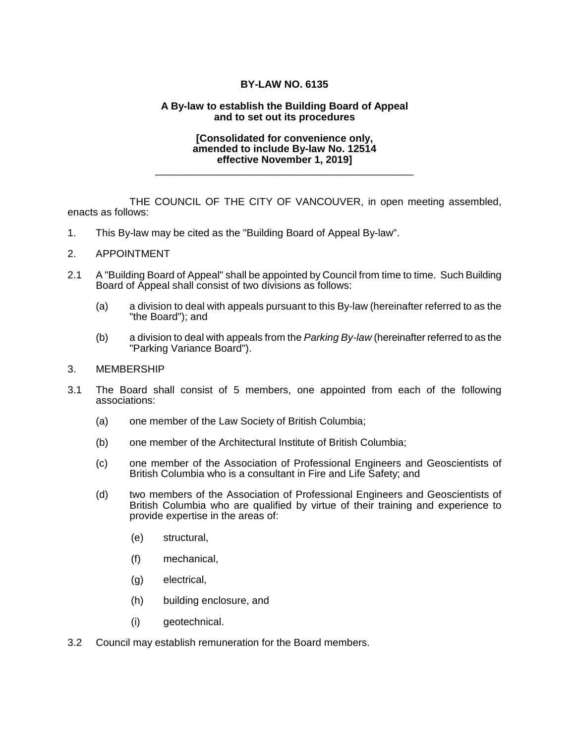## **BY-LAW NO. 6135**

### **A By-law to establish the Building Board of Appeal and to set out its procedures**

#### **[Consolidated for convenience only, amended to include By-law No. 12514 effective November 1, 2019]**

\_\_\_\_\_\_\_\_\_\_\_\_\_\_\_\_\_\_\_\_\_\_\_\_\_\_\_\_\_\_\_\_\_\_\_\_\_\_\_\_\_\_\_\_\_

THE COUNCIL OF THE CITY OF VANCOUVER, in open meeting assembled, enacts as follows:

1. This By-law may be cited as the "Building Board of Appeal By-law".

### 2. APPOINTMENT

- 2.1 A "Building Board of Appeal" shall be appointed by Council from time to time. Such Building Board of Appeal shall consist of two divisions as follows:
	- (a) a division to deal with appeals pursuant to this By-law (hereinafter referred to as the "the Board"); and
	- (b) a division to deal with appeals from the *Parking By-law* (hereinafter referred to as the "Parking Variance Board").

#### 3. MEMBERSHIP

- 3.1 The Board shall consist of 5 members, one appointed from each of the following associations:
	- (a) one member of the Law Society of British Columbia;
	- (b) one member of the Architectural Institute of British Columbia;
	- (c) one member of the Association of Professional Engineers and Geoscientists of British Columbia who is a consultant in Fire and Life Safety; and
	- (d) two members of the Association of Professional Engineers and Geoscientists of British Columbia who are qualified by virtue of their training and experience to provide expertise in the areas of:
		- (e) structural,
		- (f) mechanical,
		- (g) electrical,
		- (h) building enclosure, and
		- (i) geotechnical.
- 3.2 Council may establish remuneration for the Board members.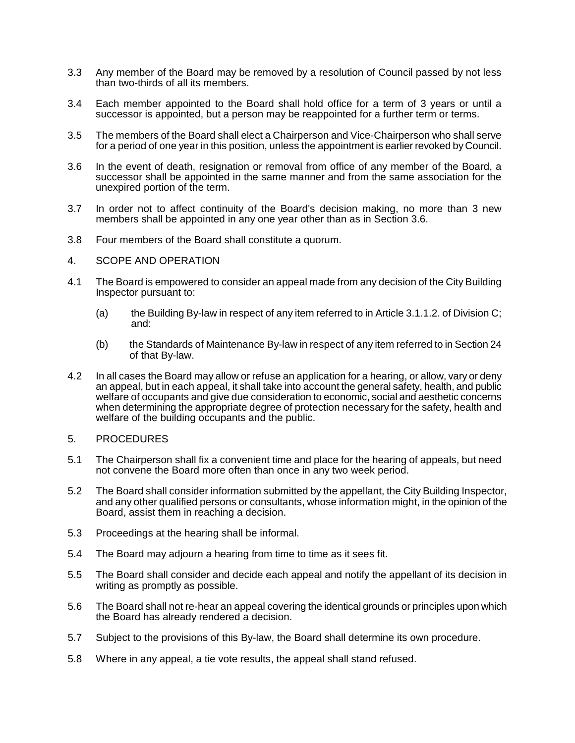- 3.3 Any member of the Board may be removed by a resolution of Council passed by not less than two-thirds of all its members.
- 3.4 Each member appointed to the Board shall hold office for a term of 3 years or until a successor is appointed, but a person may be reappointed for a further term or terms.
- 3.5 The members of the Board shall elect a Chairperson and Vice-Chairperson who shall serve for a period of one year in this position, unless the appointment is earlier revoked by Council.
- 3.6 In the event of death, resignation or removal from office of any member of the Board, a successor shall be appointed in the same manner and from the same association for the unexpired portion of the term.
- 3.7 In order not to affect continuity of the Board's decision making, no more than 3 new members shall be appointed in any one year other than as in Section 3.6.
- 3.8 Four members of the Board shall constitute a quorum.
- 4. SCOPE AND OPERATION
- 4.1 The Board is empowered to consider an appeal made from any decision of the City Building Inspector pursuant to:
	- (a) the Building By-law in respect of any item referred to in Article 3.1.1.2. of Division C; and:
	- (b) the Standards of Maintenance By-law in respect of any item referred to in Section 24 of that By-law.
- 4.2 In all cases the Board may allow or refuse an application for a hearing, or allow, vary or deny an appeal, but in each appeal, it shall take into account the general safety, health, and public welfare of occupants and give due consideration to economic, social and aesthetic concerns when determining the appropriate degree of protection necessary for the safety, health and welfare of the building occupants and the public.
- 5. PROCEDURES
- 5.1 The Chairperson shall fix a convenient time and place for the hearing of appeals, but need not convene the Board more often than once in any two week period.
- 5.2 The Board shall consider information submitted by the appellant, the City Building Inspector, and any other qualified persons or consultants, whose information might, in the opinion of the Board, assist them in reaching a decision.
- 5.3 Proceedings at the hearing shall be informal.
- 5.4 The Board may adjourn a hearing from time to time as it sees fit.
- 5.5 The Board shall consider and decide each appeal and notify the appellant of its decision in writing as promptly as possible.
- 5.6 The Board shall not re-hear an appeal covering the identical grounds or principles upon which the Board has already rendered a decision.
- 5.7 Subject to the provisions of this By-law, the Board shall determine its own procedure.
- 5.8 Where in any appeal, a tie vote results, the appeal shall stand refused.